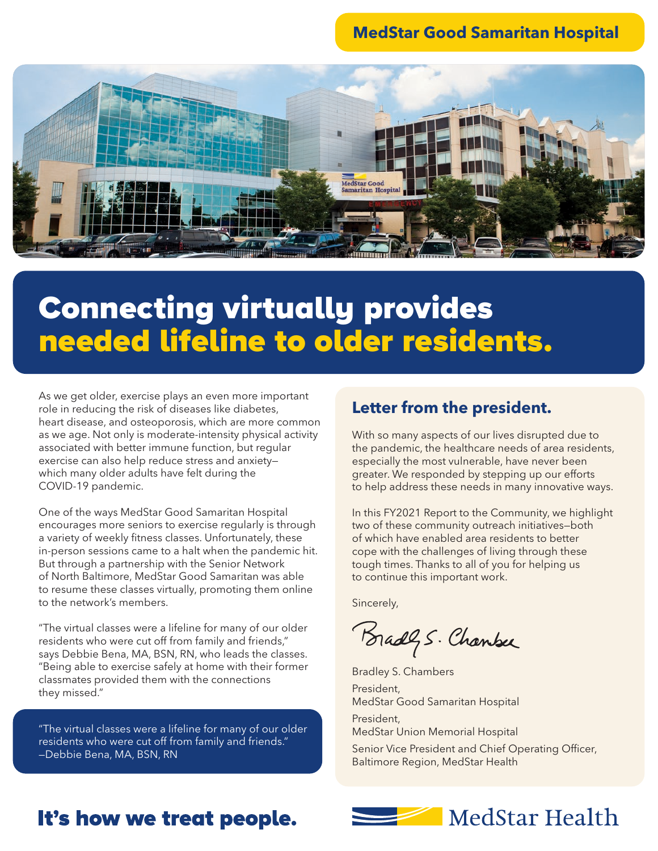### **MedStar Good Samaritan Hospital**



# Connecting virtually provides needed lifeline to older residents.

As we get older, exercise plays an even more important role in reducing the risk of diseases like diabetes, heart disease, and osteoporosis, which are more common as we age. Not only is moderate-intensity physical activity associated with better immune function, but regular exercise can also help reduce stress and anxiety which many older adults have felt during the COVID-19 pandemic.

One of the ways MedStar Good Samaritan Hospital encourages more seniors to exercise regularly is through a variety of weekly fitness classes. Unfortunately, these in-person sessions came to a halt when the pandemic hit. But through a partnership with the Senior Network of North Baltimore, MedStar Good Samaritan was able to resume these classes virtually, promoting them online to the network's members.

"The virtual classes were a lifeline for many of our older residents who were cut off from family and friends," says Debbie Bena, MA, BSN, RN, who leads the classes. "Being able to exercise safely at home with their former classmates provided them with the connections they missed."

"The virtual classes were a lifeline for many of our older residents who were cut off from family and friends." —Debbie Bena, MA, BSN, RN

#### **Letter from the president.**

With so many aspects of our lives disrupted due to the pandemic, the healthcare needs of area residents, especially the most vulnerable, have never been greater. We responded by stepping up our efforts to help address these needs in many innovative ways.

In this FY2021 Report to the Community, we highlight two of these community outreach initiatives—both of which have enabled area residents to better cope with the challenges of living through these tough times. Thanks to all of you for helping us to continue this important work.

Sincerely,

Bradly S. Chanber

Bradley S. Chambers President, MedStar Good Samaritan Hospital

President, MedStar Union Memorial Hospital

Senior Vice President and Chief Operating Officer, Baltimore Region, MedStar Health

## It's how we treat people.